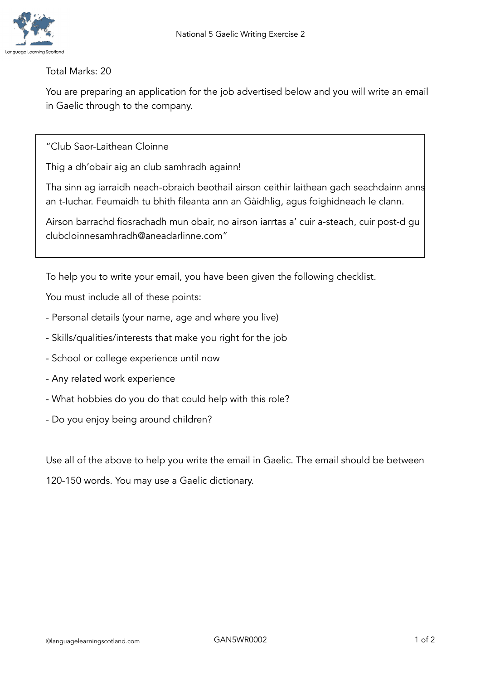

## Total Marks: 20

You are preparing an application for the job advertised below and you will write an email in Gaelic through to the company.

"Club Saor-Laithean Cloinne

Thig a dh'obair aig an club samhradh againn!

Tha sinn ag iarraidh neach-obraich beothail airson ceithir laithean gach seachdainn anns an t-Iuchar. Feumaidh tu bhith fileanta ann an Gàidhlig, agus foighidneach le clann.

Airson barrachd fiosrachadh mun obair, no airson iarrtas a' cuir a-steach, cuir post-d gu clubcloinnesamhradh@aneadarlinne.com"

To help you to write your email, you have been given the following checklist.

You must include all of these points:

- Personal details (your name, age and where you live)
- Skills/qualities/interests that make you right for the job
- School or college experience until now
- Any related work experience
- What hobbies do you do that could help with this role?
- Do you enjoy being around children?

Use all of the above to help you write the email in Gaelic. The email should be between

120-150 words. You may use a Gaelic dictionary.